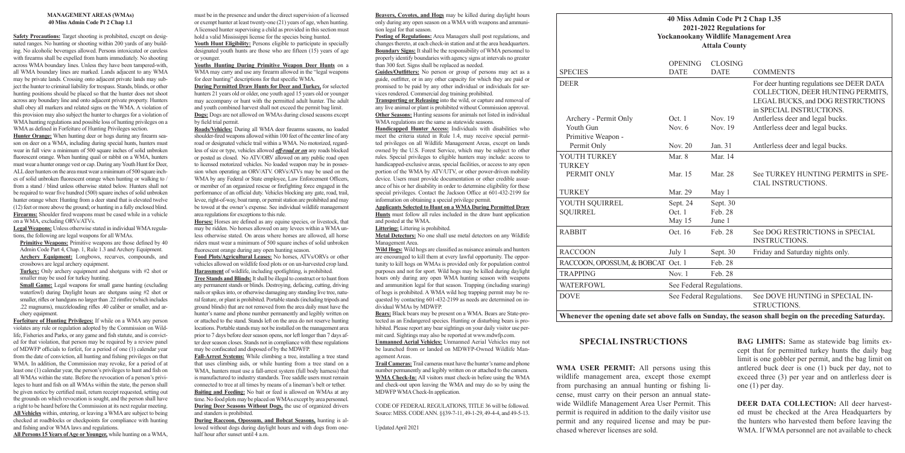### **40 Miss Admin Code Pt 2 Chap 1.35 2021-2022 Regulations for Yockanookany Wildlife Management Area Attala County**

|                                                          | $\cdots$<br><b>Yockanookany Wildlife Ma</b><br><b>Attala Count</b> |                               |  |
|----------------------------------------------------------|--------------------------------------------------------------------|-------------------------------|--|
| <b>SPECIES</b>                                           | <b>OPENING</b><br><b>DATE</b>                                      | <b>CLOSING</b><br><b>DATE</b> |  |
| <b>DEER</b>                                              |                                                                    |                               |  |
| Archery - Permit Only                                    | Oct. 1                                                             | Nov. 19                       |  |
| Youth Gun                                                | Nov. $6$                                                           | Nov. 19                       |  |
| Primitive Weapon -                                       |                                                                    |                               |  |
| Permit Only                                              | Nov. 20                                                            | Jan. 31                       |  |
| YOUTH TURKEY                                             | Mar. $8$                                                           | Mar. 14                       |  |
| <b>TURKEY</b>                                            |                                                                    |                               |  |
| PERMIT ONLY                                              | Mar. 15                                                            | Mar. 28                       |  |
| <b>TURKEY</b>                                            | Mar. 29                                                            | May 1                         |  |
| YOUTH SQUIRREL                                           | Sept. 24                                                           | Sept. 30                      |  |
| <b>SQUIRREL</b>                                          | Oct. 1                                                             | Feb. 28                       |  |
|                                                          | May 15                                                             | June 1                        |  |
| <b>RABBIT</b>                                            | Oct. 16                                                            | Feb. 28                       |  |
| <b>RACCOON</b>                                           | July 1                                                             | Sept. 30                      |  |
| RACCOON, OPOSSUM, & BOBCAT                               | Oct. 1                                                             | Feb. 28                       |  |
| <b>TRAPPING</b>                                          | Nov. 1                                                             | Feb. 28                       |  |
| <b>WATERFOWL</b>                                         |                                                                    | See Federal Regulations.      |  |
| <b>DOVE</b>                                              |                                                                    | See Federal Regulations.      |  |
| Whenever the opening date set above falls on Sunday, the |                                                                    |                               |  |

|                                                                                                        | <b>OPENING</b>           | <b>CLOSING</b> |                                                                                                                                                  |  |  |
|--------------------------------------------------------------------------------------------------------|--------------------------|----------------|--------------------------------------------------------------------------------------------------------------------------------------------------|--|--|
| <b>SPECIES</b>                                                                                         | <b>DATE</b>              | <b>DATE</b>    | <b>COMMENTS</b>                                                                                                                                  |  |  |
| DEER                                                                                                   |                          |                | For deer hunting regulations see DEER DATA<br>COLLECTION, DEER HUNTING PERMITS,<br>LEGAL BUCKS, and DOG RESTRICTIONS<br>in SPECIAL INSTRUCTIONS. |  |  |
| Archery - Permit Only                                                                                  | Oct.1                    | Nov. 19        | Antlerless deer and legal bucks.                                                                                                                 |  |  |
| Youth Gun<br>Primitive Weapon -                                                                        | Nov. $6$                 | Nov. 19        | Antlerless deer and legal bucks.                                                                                                                 |  |  |
| Permit Only                                                                                            | Nov. 20                  | Jan. 31        | Antlerless deer and legal bucks.                                                                                                                 |  |  |
| YOUTH TURKEY<br>TURKEY                                                                                 | Mar. 8                   | Mar. 14        |                                                                                                                                                  |  |  |
| PERMIT ONLY                                                                                            | Mar. 15                  | Mar. 28        | See TURKEY HUNTING PERMITS in SPE-<br>CIAL INSTRUCTIONS.                                                                                         |  |  |
| TURKEY                                                                                                 | Mar. 29                  | May 1          |                                                                                                                                                  |  |  |
| YOUTH SQUIRREL                                                                                         | Sept. 24                 | Sept. 30       |                                                                                                                                                  |  |  |
| <b>SQUIRREL</b>                                                                                        | Oct. 1                   | Feb. 28        |                                                                                                                                                  |  |  |
|                                                                                                        | May 15                   | June 1         |                                                                                                                                                  |  |  |
| <b>RABBIT</b>                                                                                          | Oct. 16                  | Feb. 28        | See DOG RESTRICTIONS in SPECIAL<br><b>INSTRUCTIONS.</b>                                                                                          |  |  |
| <b>RACCOON</b>                                                                                         | July 1                   | Sept. 30       | Friday and Saturday nights only.                                                                                                                 |  |  |
| RACCOON, OPOSSUM, & BOBCAT Oct. 1                                                                      |                          | Feb. 28        |                                                                                                                                                  |  |  |
| <b>TRAPPING</b>                                                                                        | Nov. $1$                 | Feb. 28        |                                                                                                                                                  |  |  |
| WATERFOWL                                                                                              | See Federal Regulations. |                |                                                                                                                                                  |  |  |
| DOVE                                                                                                   | See Federal Regulations. |                | See DOVE HUNTING in SPECIAL IN-<br>STRUCTIONS.                                                                                                   |  |  |
| Whenever the opening date set above falls on Sunday, the season shall begin on the preceding Saturday. |                          |                |                                                                                                                                                  |  |  |

**WMA USER PERMIT:** All persons using this wildlife management area, except those exempt from purchasing an annual hunting or fishing license, must carry on their person an annual statewide Wildlife Management Area User Permit. This permit is required in addition to the daily visitor use permit and any required license and may be purchased wherever licenses are sold.

**BAG LIMITS:** Same as statewide bag limits except that for permitted turkey hunts the daily bag limit is one gobbler per permit, and the bag limit on antlered buck deer is one (1) buck per day, not to exceed three (3) per year and on antlerless deer is one (1) per day.

**DEER DATA COLLECTION:** All deer harvested must be checked at the Area Headquarters by the hunters who harvested them before leaving the WMA. If WMA personnel are not available to check

## **SPECIAL INSTRUCTIONS**

#### **MANAGEMENT AREAS (WMAs) 40 Miss Admin Code Pt 2 Chap 1.1**

**Primitive Weapons:** Primitive weapons are those defined by 40 Admin Code Part 4, Chap. 1, Rule 1.3 and Archery Equipment. **Archery Equipment:** Longbows, recurves, compounds, and crossbows are legal archery equipment.

**Small Game:** Legal weapons for small game hunting (excluding waterfowl) during Daylight hours are shotguns using #2 shot or smaller, rifles or handguns no larger than .22 rimfire (which includes .22 magnums), muzzleloading rifles .40 caliber or smaller, and archery equipment.

**Safety Precautions:** Target shooting is prohibited, except on designated ranges. No hunting or shooting within 200 yards of any building. No alcoholic beverages allowed. Persons intoxicated or careless with firearms shall be expelled from hunts immediately. No shooting across WMA boundary lines. Unless they have been tampered-with, all WMA boundary lines are marked. Lands adjacent to any WMA may be private lands. Crossing onto adjacent private lands may subject the hunter to criminal liability for trespass. Stands, blinds, or other hunting positions should be placed so that the hunter does not shoot across any boundary line and onto adjacent private property. Hunters shall obey all markers and related signs on the WMA. A violation of this provision may also subject the hunter to charges for a violation of WMA hunting regulations and possible loss of hunting privileges on a WMA as defined in Forfeiture of Hunting Privileges section.

Youth Hunt Eligibility: Persons eligible to participate in specially designated youth hunts are those who are fifteen (15) years of age or younger.

**Hunter Orange:** When hunting deer or hogs during any firearm season on deer on a WMA, including during special hunts, hunters must wear in full view a minimum of 500 square inches of solid unbroken fluorescent orange. When hunting quail or rabbit on a WMA, hunters must wear a hunter orange vest or cap. During any Youth Hunt for Deer, ALL deer hunters on the area must wear a minimum of 500 square inches of solid unbroken fluorescent orange when hunting or walking to / from a stand / blind unless otherwise stated below. Hunters shall not be required to wear five hundred (500) square inches of solid unbroken hunter orange when: Hunting from a deer stand that is elevated twelve (12) feet or more above the ground; or hunting in a fully enclosed blind. **Firearms:** Shoulder fired weapons must be cased while in a vehicle on a WMA, excluding ORVs/ATVs.

**Legal Weapons:** Unless otherwise stated in individual WMA regulations, the following are legal weapons for all WMAs.

**Turkey:** Only archery equipment and shotguns with #2 shot or smaller may be used for turkey hunting.

> **During Raccoon, Opossum, and Bobcat Seasons,** hunting is allowed without dogs during daylight hours and with dogs from onehalf hour after sunset until 4 a.m.

**Forfeiture of Hunting Privileges:** If while on a WMA any person violates any rule or regulation adopted by the Commission on Wildlife, Fisheries and Parks, or any game and fish statute, and is convicted for that violation, that person may be required by a review panel of MDWFP officials to forfeit, for a period of one (1) calendar year from the date of conviction, all hunting and fishing privileges on that WMA. In addition, the Commission may revoke, for a period of at least one (1) calendar year, the person's privileges to hunt and fish on all WMAs within the state. Before the revocation of a person's privileges to hunt and fish on all WMAs within the state, the person shall be given notice by certified mail, return receipt requested, setting out the grounds on which revocation is sought, and the person shall have a right to be heard before the Commission at its next regular meeting. **All Vehicles** within, entering, or leaving a WMA are subject to being checked at roadblocks or checkpoints for compliance with hunting and fishing and/or WMA laws and regulations.

**All Persons 15 Years of Age or Younger,** while hunting on a WMA,

must be in the presence and under the direct supervision of a licensed or exempt hunter at least twenty-one (21) years of age, when hunting. A licensed hunter supervising a child as provided in this section must hold a valid Mississippi license for the species being hunted.

**Youths Hunting During Primitive Weapon Deer Hunts** on a WMA may carry and use any firearm allowed in the "legal weapons for deer hunting" descriptions for that specific WMA.

**During Permitted Draw Hunts for Deer and Turkey,** for selected hunters 21 years old or older, one youth aged 15 years old or younger may accompany or hunt with the permitted adult hunter. The adult and youth combined harvest shall not exceed the permit bag limit. **Dogs:** Dogs are not allowed on WMAs during closed seasons except by field trial permit.

**Roads/Vehicles:** During all WMA deer firearms seasons, no loaded shoulder-fired weapons allowed within 100 feet of the center line of any road or designated vehicle trail within a WMA. No motorized, regardless of size or type, vehicles allowed *off-road or on* any roads blocked or posted as closed. No ATV/ORV allowed on any public road open to licensed motorized vehicles. No loaded weapon may be in possession when operating an ORV/ATV. ORVs/ATVs may be used on the WMA by any Federal or State employee, Law Enforcement Officers, or member of an organized rescue or firefighting force engaged in the performance of an official duty. Vehicles blocking any gate, road, trail, levee, right-of-way, boat ramp, or permit station are prohibited and may be towed at the owner's expense. See individual wildlife management area regulations for exceptions to this rule.

**Horses:** Horses are defined as any equine species, or livestock, that may be ridden. No horses allowed on any levees within a WMA unless otherwise stated. On areas where horses are allowed, all horse riders must wear a minimum of 500 square inches of solid unbroken fluorescent orange during any open hunting season.

**Food Plots/Agricultural Leases:** No horses, ATVs/ORVs or other vehicles allowed on wildlife food plots or on un-harvested crop land. **Harassment** of wildlife, including spotlighting, is prohibited.

**Tree Stands and Blinds:** It shall be illegal to construct or to hunt from any permanent stands or blinds. Destroying, defacing, cutting, driving nails or spikes into, or otherwise damaging any standing live tree, natural feature, or plant is prohibited. Portable stands (including tripods and ground blinds) that are not removed from the area daily must have the hunter's name and phone number permanently and legibly written on or attached to the stand. Stands left on the area do not reserve hunting locations. Portable stands may not be installed on the management area prior to 7 days before deer season opens, nor left longer than 7 days after deer season closes. Stands not in compliance with these regulations may be confiscated and disposed of by the MDWFP.

**Fall-Arrest Systems:** While climbing a tree, installing a tree stand that uses climbing aids, or while hunting from a tree stand on a WMA, hunters must use a fall-arrest system (full body harness) that is manufactured to industry standards. Tree saddle users must remain connected to tree at all times by means of a lineman's belt or tether. **Baiting and Feeding:** No bait or feed is allowed on WMAs at any time. No food plots may be placed on WMAs except by area personnel. **During Deer Seasons Without Dogs,** the use of organized drivers and standers is prohibited.

**Beavers, Coyotes, and Hogs** may be killed during daylight hours only during any open season on a WMA with weapons and ammunition legal for that season.

**Posting of Regulations:** Area Managers shall post regulations, and changes thereto, at each check-in station and at the area headquarters. **Boundary Signs:** It shall be the responsibility of WMA personnel to properly identify boundaries with agency signs at intervals no greater than 300 feet. Signs shall be replaced as needed.

**Guides/Outfitters:** No person or group of persons may act as a guide, outfitter, or in any other capacity for which they are paid or promised to be paid by any other individual or individuals for services rendered. Commercial dog training prohibited.

**Transporting or Releasing** into the wild, or capture and removal of any live animal or plant is prohibited without Commission approval. **Other Seasons:** Hunting seasons for animals not listed in individual WMA regulations are the same as statewide seasons.

**Handicapped Hunter Access:** Individuals with disabilities who meet the criteria stated in Rule 1.4, may receive special permitted privileges on all Wildlife Management Areas, except on lands owned by the U.S. Forest Service, which may be subject to other rules. Special privileges to eligible hunters may include: access to handicapped-exclusive areas, special facilities, or access to any open portion of the WMA by ATV/UTV, or other power-driven mobility device. Users must provide documentation or other credible assurance of his or her disability in order to determine eligibility for these special privileges. Contact the Jackson Office at 601-432-2199 for information on obtaining a special privilege permit.

#### **Applicants Selected to Hunt on a WMA During Permitted Draw**

**Hunts** must follow all rules included in the draw hunt application and posted at the WMA.

**Littering:** Littering is prohibited.

**Metal Detectors:** No one shall use metal detectors on any Wildlife Management Area.

**Wild Hogs:** Wild hogs are classified as nuisance animals and hunters are encouraged to kill them at every lawful opportunity. The opportunity to kill hogs on WMAs is provided only for population control purposes and not for sport. Wild hogs may be killed during daylight hours only during any open WMA hunting season with weapons and ammunition legal for that season. Trapping (including snaring) of hogs is prohibited. A WMA wild hog trapping permit may be requested by contacting 601-432-2199 as needs are determined on individual WMAs by MDWFP.

**Bears:** Black bears may be present on a WMA. Bears are State-protected as an Endangered species. Hunting or disturbing bears is prohibited. Please report any bear sightings on your daily visitor use permit card. Sightings may also be reported at www.mdwfp.com.

**Unmanned Aerial Vehicles:** Unmanned Aerial Vehicles may not be launched from or landed on MDWFP-Owned Wildlife Management Areas.

**Trail Cameras:** Trail cameras must have the hunter's name and phone number permanently and legibly written on or attached to the camera. **WMA Check-In:** All visitors must check-in before using the WMA and check-out upon leaving the WMA and may do so by using the MDWFP WMA Check-In application.

CODE OF FEDERAL REGULATIONS, TITLE 36 will be followed. Source: MISS. CODE ANN. §§39-7-11, 49-1-29, 49-4-4, and 49-5-13.

Updated April 2021